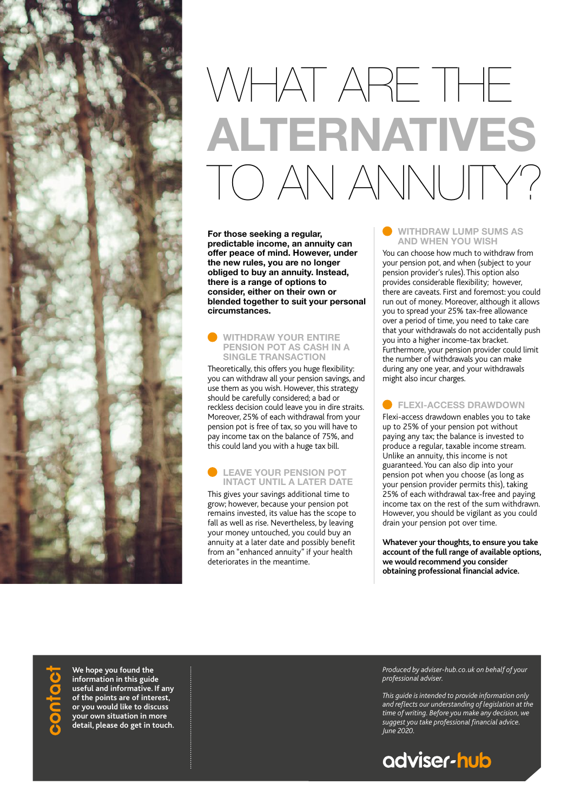

# WHAT ARE THE **ALTERNATIVES** TO AN ANNUITY?

**For those seeking a regular, predictable income, an annuity can offer peace of mind. However, under the new rules, you are no longer obliged to buy an annuity. Instead, there is a range of options to consider, either on their own or blended together to suit your personal circumstances.**

### **WITHDRAW YOUR ENTIRE PENSION POT AS CASH IN A SINGLE TRANSACTION**

Theoretically, this offers you huge flexibility: you can withdraw all your pension savings, and use them as you wish. However, this strategy should be carefully considered; a bad or reckless decision could leave you in dire straits. Moreover, 25% of each withdrawal from your pension pot is free of tax, so you will have to pay income tax on the balance of 75%, and this could land you with a huge tax bill.

## **LEAVE YOUR PENSION POT INTACT UNTIL A LATER DATE**

This gives your savings additional time to grow; however, because your pension pot remains invested, its value has the scope to fall as well as rise. Nevertheless, by leaving your money untouched, you could buy an annuity at a later date and possibly benefit from an "enhanced annuity" if your health deteriorates in the meantime.

## **WITHDRAW LUMP SUMS AS AND WHEN YOU WISH**

You can choose how much to withdraw from your pension pot, and when (subject to your pension provider's rules). This option also provides considerable flexibility; however, there are caveats. First and foremost: you could run out of money. Moreover, although it allows you to spread your 25% tax-free allowance over a period of time, you need to take care that your withdrawals do not accidentally push you into a higher income-tax bracket. Furthermore, your pension provider could limit the number of withdrawals you can make during any one year, and your withdrawals might also incur charges.

# **FLEXI-ACCESS DRAWDOWN**

Flexi-access drawdown enables you to take up to 25% of your pension pot without paying any tax; the balance is invested to produce a regular, taxable income stream. Unlike an annuity, this income is not guaranteed. You can also dip into your pension pot when you choose (as long as your pension provider permits this), taking 25% of each withdrawal tax-free and paying income tax on the rest of the sum withdrawn. However, you should be vigilant as you could drain your pension pot over time.

**Whatever your thoughts, to ensure you take account of the full range of available options, we would recommend you consider obtaining professional financial advice.**

**We hope you found the information in this guide useful and informative. If any of the points are of interest, or you would like to discuss your own situation in more detail, please do get in touch.**

*Produced by adviser-hub.co.uk on behalf of your professional adviser.* 

*This guide is intended to provide information only and reflects our understanding of legislation at the time of writing. Before you make any decision, we suggest you take professional financial advice. June 2020.*

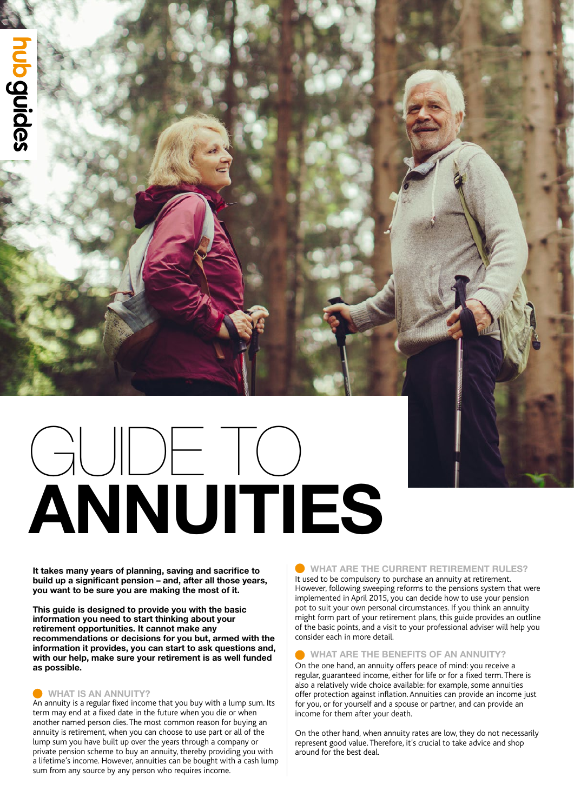# **ANNUITIES** GUIDE TO

**It takes many years of planning, saving and sacrifice to build up a significant pension – and, after all those years, you want to be sure you are making the most of it.**

**This guide is designed to provide you with the basic information you need to start thinking about your retirement opportunities. It cannot make any recommendations or decisions for you but, armed with the information it provides, you can start to ask questions and, with our help, make sure your retirement is as well funded as possible.** 

# **WHAT IS AN ANNUITY?**

An annuity is a regular fixed income that you buy with a lump sum. Its term may end at a fixed date in the future when you die or when another named person dies. The most common reason for buying an annuity is retirement, when you can choose to use part or all of the lump sum you have built up over the years through a company or private pension scheme to buy an annuity, thereby providing you with a lifetime's income. However, annuities can be bought with a cash lump sum from any source by any person who requires income.

# **WHAT ARE THE CURRENT RETIREMENT RULES?**

It used to be compulsory to purchase an annuity at retirement. However, following sweeping reforms to the pensions system that were implemented in April 2015, you can decide how to use your pension pot to suit your own personal circumstances. If you think an annuity might form part of your retirement plans, this guide provides an outline of the basic points, and a visit to your professional adviser will help you consider each in more detail.

# **WHAT ARE THE BENEFITS OF AN ANNUITY?**

On the one hand, an annuity offers peace of mind: you receive a regular, guaranteed income, either for life or for a fixed term. There is also a relatively wide choice available: for example, some annuities offer protection against inflation. Annuities can provide an income just for you, or for yourself and a spouse or partner, and can provide an income for them after your death.

On the other hand, when annuity rates are low, they do not necessarily represent good value. Therefore, it's crucial to take advice and shop around for the best deal.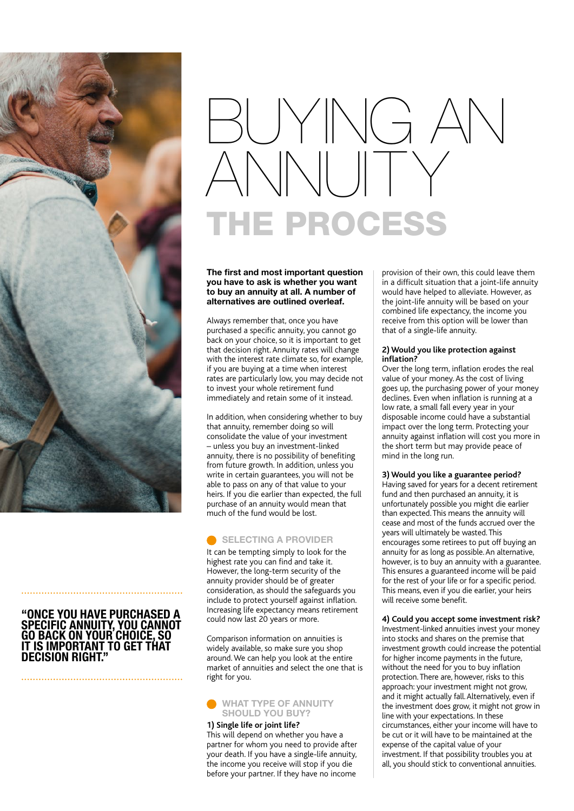

# **"ONCE YOU HAVE PURCHASED A SPECIFIC ANNUITY, YOU CANNOT GO BACK ON YOUR CHOICE, SO IT IS IMPORTANT TO GET THAT DECISION RIGHT."**

# BUYING AN ANNUITY THE PROCESS

### **The first and most important question you have to ask is whether you want to buy an annuity at all. A number of alternatives are outlined overleaf.**

Always remember that, once you have purchased a specific annuity, you cannot go back on your choice, so it is important to get that decision right. Annuity rates will change with the interest rate climate so, for example, if you are buying at a time when interest rates are particularly low, you may decide not to invest your whole retirement fund immediately and retain some of it instead.

In addition, when considering whether to buy that annuity, remember doing so will consolidate the value of your investment – unless you buy an investment-linked annuity, there is no possibility of benefiting from future growth. In addition, unless you write in certain guarantees, you will not be able to pass on any of that value to your heirs. If you die earlier than expected, the full purchase of an annuity would mean that much of the fund would be lost.

# **SELECTING A PROVIDER**

It can be tempting simply to look for the highest rate you can find and take it. However, the long-term security of the annuity provider should be of greater consideration, as should the safeguards you include to protect yourself against inflation. Increasing life expectancy means retirement could now last 20 years or more.

Comparison information on annuities is widely available, so make sure you shop around. We can help you look at the entire market of annuities and select the one that is right for you.



#### **1) Single life or joint life?**

This will depend on whether you have a partner for whom you need to provide after your death. If you have a single-life annuity, the income you receive will stop if you die before your partner. If they have no income

provision of their own, this could leave them in a difficult situation that a joint-life annuity would have helped to alleviate. However, as the joint-life annuity will be based on your combined life expectancy, the income you receive from this option will be lower than that of a single-life annuity.

### **2) Would you like protection against inflation?**

Over the long term, inflation erodes the real value of your money. As the cost of living goes up, the purchasing power of your money declines. Even when inflation is running at a low rate, a small fall every year in your disposable income could have a substantial impact over the long term. Protecting your annuity against inflation will cost you more in the short term but may provide peace of mind in the long run.

#### **3) Would you like a guarantee period?**

Having saved for years for a decent retirement fund and then purchased an annuity, it is unfortunately possible you might die earlier than expected. This means the annuity will cease and most of the funds accrued over the years will ultimately be wasted. This encourages some retirees to put off buying an annuity for as long as possible. An alternative, however, is to buy an annuity with a guarantee. This ensures a guaranteed income will be paid for the rest of your life or for a specific period. This means, even if you die earlier, your heirs will receive some benefit.

### **4) Could you accept some investment risk?**

Investment-linked annuities invest your money into stocks and shares on the premise that investment growth could increase the potential for higher income payments in the future, without the need for you to buy inflation protection. There are, however, risks to this approach: your investment might not grow, and it might actually fall. Alternatively, even if the investment does grow, it might not grow in line with your expectations. In these circumstances, either your income will have to be cut or it will have to be maintained at the expense of the capital value of your investment. If that possibility troubles you at all, you should stick to conventional annuities.